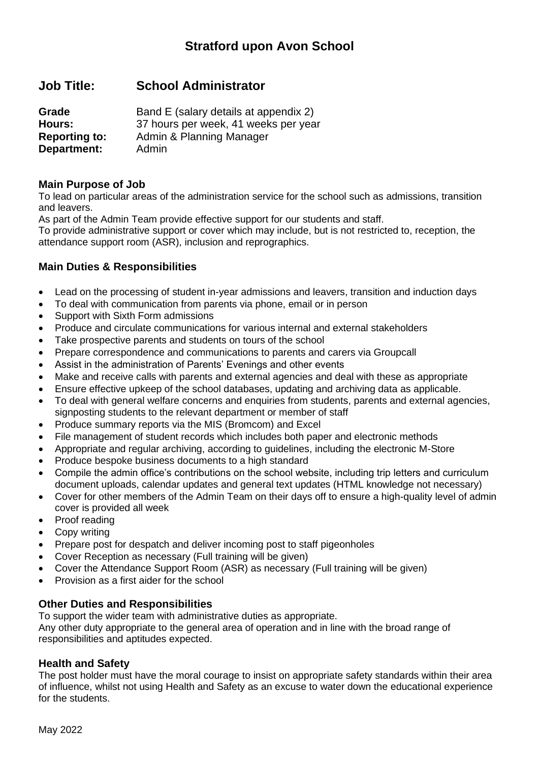## **Job Title: School Administrator**

| Grade                | Band E (salary details at appendix 2) |
|----------------------|---------------------------------------|
| Hours:               | 37 hours per week, 41 weeks per year  |
| <b>Reporting to:</b> | Admin & Planning Manager              |
| Department:          | Admin                                 |

#### **Main Purpose of Job**

To lead on particular areas of the administration service for the school such as admissions, transition and leavers.

As part of the Admin Team provide effective support for our students and staff.

To provide administrative support or cover which may include, but is not restricted to, reception, the attendance support room (ASR), inclusion and reprographics.

### **Main Duties & Responsibilities**

- Lead on the processing of student in-year admissions and leavers, transition and induction days
- To deal with communication from parents via phone, email or in person
- Support with Sixth Form admissions
- Produce and circulate communications for various internal and external stakeholders
- Take prospective parents and students on tours of the school
- Prepare correspondence and communications to parents and carers via Groupcall
- Assist in the administration of Parents' Evenings and other events
- Make and receive calls with parents and external agencies and deal with these as appropriate
- Ensure effective upkeep of the school databases, updating and archiving data as applicable.
- To deal with general welfare concerns and enquiries from students, parents and external agencies, signposting students to the relevant department or member of staff
- Produce summary reports via the MIS (Bromcom) and Excel
- File management of student records which includes both paper and electronic methods
- Appropriate and regular archiving, according to guidelines, including the electronic M-Store
- Produce bespoke business documents to a high standard
- Compile the admin office's contributions on the school website, including trip letters and curriculum document uploads, calendar updates and general text updates (HTML knowledge not necessary)
- Cover for other members of the Admin Team on their days off to ensure a high-quality level of admin cover is provided all week
- Proof reading
- Copy writing
- Prepare post for despatch and deliver incoming post to staff pigeonholes
- Cover Reception as necessary (Full training will be given)
- Cover the Attendance Support Room (ASR) as necessary (Full training will be given)
- Provision as a first aider for the school

#### **Other Duties and Responsibilities**

To support the wider team with administrative duties as appropriate. Any other duty appropriate to the general area of operation and in line with the broad range of responsibilities and aptitudes expected.

#### **Health and Safety**

The post holder must have the moral courage to insist on appropriate safety standards within their area of influence, whilst not using Health and Safety as an excuse to water down the educational experience for the students.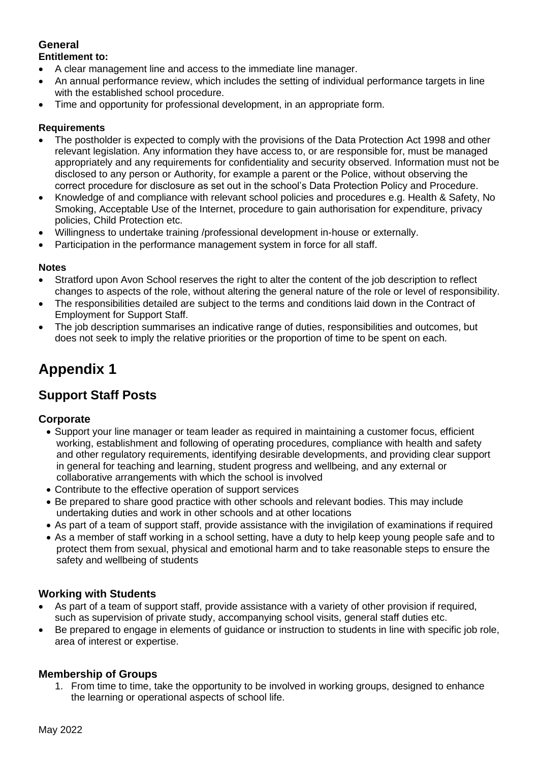### **General Entitlement to:**

- A clear management line and access to the immediate line manager.
- An annual performance review, which includes the setting of individual performance targets in line with the established school procedure.
- Time and opportunity for professional development, in an appropriate form.

#### **Requirements**

- The postholder is expected to comply with the provisions of the Data Protection Act 1998 and other relevant legislation. Any information they have access to, or are responsible for, must be managed appropriately and any requirements for confidentiality and security observed. Information must not be disclosed to any person or Authority, for example a parent or the Police, without observing the correct procedure for disclosure as set out in the school's Data Protection Policy and Procedure.
- Knowledge of and compliance with relevant school policies and procedures e.g. Health & Safety, No Smoking, Acceptable Use of the Internet, procedure to gain authorisation for expenditure, privacy policies, Child Protection etc.
- Willingness to undertake training /professional development in-house or externally.
- Participation in the performance management system in force for all staff.

#### **Notes**

- Stratford upon Avon School reserves the right to alter the content of the job description to reflect changes to aspects of the role, without altering the general nature of the role or level of responsibility.
- The responsibilities detailed are subject to the terms and conditions laid down in the Contract of Employment for Support Staff.
- The job description summarises an indicative range of duties, responsibilities and outcomes, but does not seek to imply the relative priorities or the proportion of time to be spent on each.

# **Appendix 1**

# **Support Staff Posts**

#### **Corporate**

- Support your line manager or team leader as required in maintaining a customer focus, efficient working, establishment and following of operating procedures, compliance with health and safety and other regulatory requirements, identifying desirable developments, and providing clear support in general for teaching and learning, student progress and wellbeing, and any external or collaborative arrangements with which the school is involved
- Contribute to the effective operation of support services
- Be prepared to share good practice with other schools and relevant bodies. This may include undertaking duties and work in other schools and at other locations
- As part of a team of support staff, provide assistance with the invigilation of examinations if required
- As a member of staff working in a school setting, have a duty to help keep young people safe and to protect them from sexual, physical and emotional harm and to take reasonable steps to ensure the safety and wellbeing of students

## **Working with Students**

- As part of a team of support staff, provide assistance with a variety of other provision if required, such as supervision of private study, accompanying school visits, general staff duties etc.
- Be prepared to engage in elements of guidance or instruction to students in line with specific job role, area of interest or expertise.

#### **Membership of Groups**

1. From time to time, take the opportunity to be involved in working groups, designed to enhance the learning or operational aspects of school life.